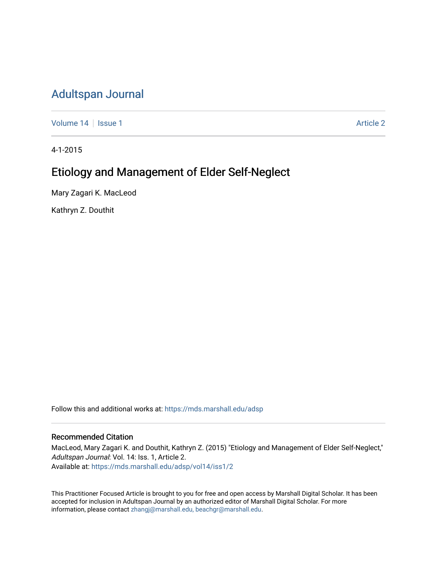# [Adultspan Journal](https://mds.marshall.edu/adsp)

[Volume 14](https://mds.marshall.edu/adsp/vol14) Suitsue 1 [Article 2](https://mds.marshall.edu/adsp/vol14/iss1/2) Article 2 Article 2 Article 2 Article 2

4-1-2015

# Etiology and Management of Elder Self-Neglect

Mary Zagari K. MacLeod

Kathryn Z. Douthit

Follow this and additional works at: [https://mds.marshall.edu/adsp](https://mds.marshall.edu/adsp?utm_source=mds.marshall.edu%2Fadsp%2Fvol14%2Fiss1%2F2&utm_medium=PDF&utm_campaign=PDFCoverPages) 

# Recommended Citation

MacLeod, Mary Zagari K. and Douthit, Kathryn Z. (2015) "Etiology and Management of Elder Self-Neglect," Adultspan Journal: Vol. 14: Iss. 1, Article 2. Available at: [https://mds.marshall.edu/adsp/vol14/iss1/2](https://mds.marshall.edu/adsp/vol14/iss1/2?utm_source=mds.marshall.edu%2Fadsp%2Fvol14%2Fiss1%2F2&utm_medium=PDF&utm_campaign=PDFCoverPages) 

This Practitioner Focused Article is brought to you for free and open access by Marshall Digital Scholar. It has been accepted for inclusion in Adultspan Journal by an authorized editor of Marshall Digital Scholar. For more information, please contact [zhangj@marshall.edu, beachgr@marshall.edu](mailto:zhangj@marshall.edu,%20beachgr@marshall.edu).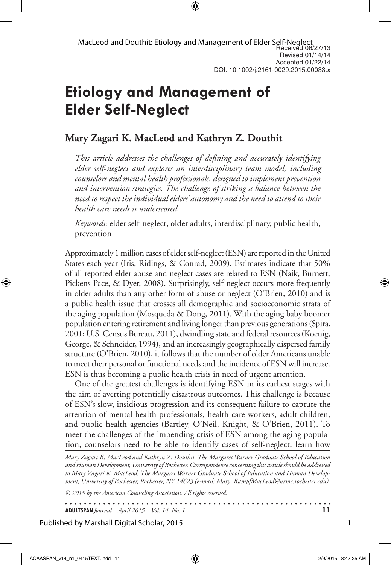# **Etiology and Management of Elder Self-Neglect**

# **Mary Zagari K. MacLeod and Kathryn Z. Douthit**

*This article addresses the challenges of defining and accurately identifying elder self-neglect and explores an interdisciplinary team model, including counselors and mental health professionals, designed to implement prevention and intervention strategies. The challenge of striking a balance between the need to respect the individual elders' autonomy and the need to attend to their health care needs is underscored.*

*Keywords:* elder self-neglect, older adults, interdisciplinary, public health, prevention

Approximately 1 million cases of elder self-neglect (ESN) are reported in the United States each year (Iris, Ridings, & Conrad, 2009). Estimates indicate that 50% of all reported elder abuse and neglect cases are related to ESN (Naik, Burnett, Pickens-Pace, & Dyer, 2008). Surprisingly, self-neglect occurs more frequently in older adults than any other form of abuse or neglect (O'Brien, 2010) and is a public health issue that crosses all demographic and socioeconomic strata of the aging population (Mosqueda & Dong, 2011). With the aging baby boomer population entering retirement and living longer than previous generations (Spira, 2001; U.S. Census Bureau, 2011), dwindling state and federal resources (Koenig, George, & Schneider, 1994), and an increasingly geographically dispersed family structure (O'Brien, 2010), it follows that the number of older Americans unable to meet their personal or functional needs and the incidence of ESN will increase. ESN is thus becoming a public health crisis in need of urgent attention.

One of the greatest challenges is identifying ESN in its earliest stages with the aim of averting potentially disastrous outcomes. This challenge is because of ESN's slow, insidious progression and its consequent failure to capture the attention of mental health professionals, health care workers, adult children, and public health agencies (Bartley, O'Neil, Knight, & O'Brien, 2011). To meet the challenges of the impending crisis of ESN among the aging population, counselors need to be able to identify cases of self-neglect, learn how

*Mary Zagari K. MacLeod and Kathryn Z. Douthit, The Margaret Warner Graduate School of Education and Human Development, University of Rochester. Correspondence concerning this article should be addressed to Mary Zagari K. MacLeod, The Margaret Warner Graduate School of Education and Human Development, University of Rochester, Rochester, NY 14623 (e-mail: Mary\_KampfMacLeod@urmc.rochester.edu).*

*© 2015 by the American Counseling Association. All rights reserved.*

**ADULTSPAN***Journal April 2015 Vol. 14 No. 1* **11**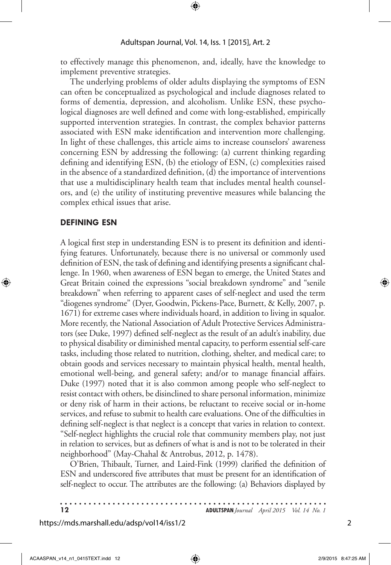to effectively manage this phenomenon, and, ideally, have the knowledge to implement preventive strategies.

The underlying problems of older adults displaying the symptoms of ESN can often be conceptualized as psychological and include diagnoses related to forms of dementia, depression, and alcoholism. Unlike ESN, these psychological diagnoses are well defined and come with long-established, empirically supported intervention strategies. In contrast, the complex behavior patterns associated with ESN make identification and intervention more challenging. In light of these challenges, this article aims to increase counselors' awareness concerning ESN by addressing the following: (a) current thinking regarding defining and identifying ESN, (b) the etiology of ESN, (c) complexities raised in the absence of a standardized definition, (d) the importance of interventions that use a multidisciplinary health team that includes mental health counselors, and (e) the utility of instituting preventive measures while balancing the complex ethical issues that arise.

# **Defining ESN**

A logical first step in understanding ESN is to present its definition and identifying features. Unfortunately, because there is no universal or commonly used definition of ESN, the task of defining and identifying presents a significant challenge. In 1960, when awareness of ESN began to emerge, the United States and Great Britain coined the expressions "social breakdown syndrome" and "senile breakdown" when referring to apparent cases of self-neglect and used the term "diogenes syndrome" (Dyer, Goodwin, Pickens-Pace, Burnett, & Kelly, 2007, p. 1671) for extreme cases where individuals hoard, in addition to living in squalor. More recently, the National Association of Adult Protective Services Administrators (see Duke, 1997) defined self-neglect as the result of an adult's inability, due to physical disability or diminished mental capacity, to perform essential self-care tasks, including those related to nutrition, clothing, shelter, and medical care; to obtain goods and services necessary to maintain physical health, mental health, emotional well-being, and general safety; and/or to manage financial affairs. Duke (1997) noted that it is also common among people who self-neglect to resist contact with others, be disinclined to share personal information, minimize or deny risk of harm in their actions, be reluctant to receive social or in-home services, and refuse to submit to health care evaluations. One of the difficulties in defining self-neglect is that neglect is a concept that varies in relation to context. "Self-neglect highlights the crucial role that community members play, not just in relation to services, but as definers of what is and is not to be tolerated in their neighborhood" (May-Chahal & Antrobus, 2012, p. 1478).

O'Brien, Thibault, Turner, and Laird-Fink (1999) clarified the definition of ESN and underscored five attributes that must be present for an identification of self-neglect to occur. The attributes are the following: (a) Behaviors displayed by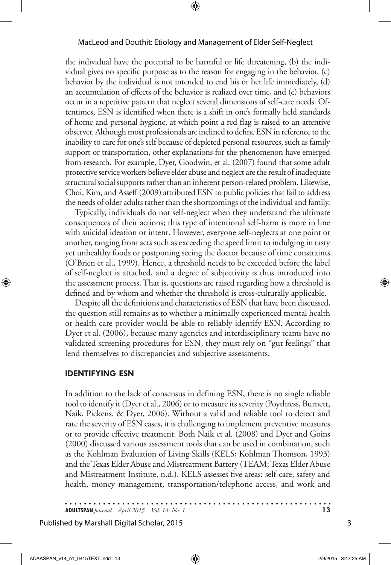the individual have the potential to be harmful or life threatening, (b) the individual gives no specific purpose as to the reason for engaging in the behavior, (c) behavior by the individual is not intended to end his or her life immediately, (d) an accumulation of effects of the behavior is realized over time, and (e) behaviors occur in a repetitive pattern that neglect several dimensions of self-care needs. Oftentimes, ESN is identified when there is a shift in one's formally held standards of home and personal hygiene, at which point a red flag is raised to an attentive observer. Although most professionals are inclined to define ESN in reference to the inability to care for one's self because of depleted personal resources, such as family support or transportation, other explanations for the phenomenon have emerged from research. For example, Dyer, Goodwin, et al. (2007) found that some adult protective service workers believe elder abuse and neglect are the result of inadequate structural social supports rather than an inherent person-related problem. Likewise, Choi, Kim, and Asseff (2009) attributed ESN to public policies that fail to address the needs of older adults rather than the shortcomings of the individual and family.

Typically, individuals do not self-neglect when they understand the ultimate consequences of their actions; this type of intentional self-harm is more in line with suicidal ideation or intent. However, everyone self-neglects at one point or another, ranging from acts such as exceeding the speed limit to indulging in tasty yet unhealthy foods or postponing seeing the doctor because of time constraints (O'Brien et al., 1999). Hence, a threshold needs to be exceeded before the label of self-neglect is attached, and a degree of subjectivity is thus introduced into the assessment process. That is, questions are raised regarding how a threshold is defined and by whom and whether the threshold is cross-culturally applicable.

Despite all the definitions and characteristics of ESN that have been discussed, the question still remains as to whether a minimally experienced mental health or health care provider would be able to reliably identify ESN. According to Dyer et al. (2006), because many agencies and interdisciplinary teams have no validated screening procedures for ESN, they must rely on "gut feelings" that lend themselves to discrepancies and subjective assessments.

## **Identifying ESN**

In addition to the lack of consensus in defining ESN, there is no single reliable tool to identify it (Dyer et al., 2006) or to measure its severity (Poythress, Burnett, Naik, Pickens, & Dyer, 2006). Without a valid and reliable tool to detect and rate the severity of ESN cases, it is challenging to implement preventive measures or to provide effective treatment. Both Naik et al. (2008) and Dyer and Goins (2000) discussed various assessment tools that can be used in combination, such as the Kohlman Evaluation of Living Skills (KELS; Kohlman Thomson, 1993) and the Texas Elder Abuse and Mistreatment Battery (TEAM; Texas Elder Abuse and Mistreatment Institute, n.d.). KELS assesses five areas: self-care, safety and health, money management, transportation/telephone access, and work and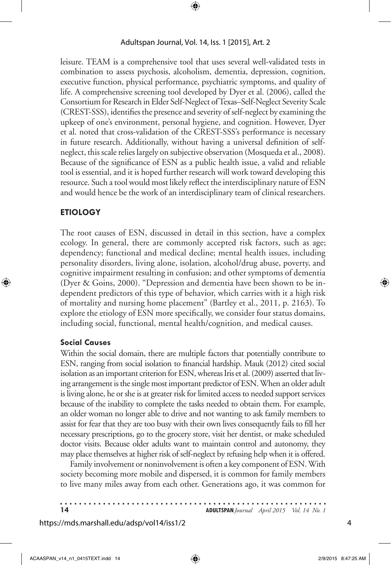## Adultspan Journal, Vol. 14, Iss. 1 [2015], Art. 2

leisure. TEAM is a comprehensive tool that uses several well-validated tests in combination to assess psychosis, alcoholism, dementia, depression, cognition, executive function, physical performance, psychiatric symptoms, and quality of life. A comprehensive screening tool developed by Dyer et al. (2006), called the Consortium for Research in Elder Self-Neglect of Texas–Self-Neglect Severity Scale (CREST-SSS), identifies the presence and severity of self-neglect by examining the upkeep of one's environment, personal hygiene, and cognition. However, Dyer et al. noted that cross-validation of the CREST-SSS's performance is necessary in future research. Additionally, without having a universal definition of selfneglect, this scale relies largely on subjective observation (Mosqueda et al., 2008). Because of the significance of ESN as a public health issue, a valid and reliable tool is essential, and it is hoped further research will work toward developing this resource. Such a tool would most likely reflect the interdisciplinary nature of ESN and would hence be the work of an interdisciplinary team of clinical researchers.

# **Etiology**

The root causes of ESN, discussed in detail in this section, have a complex ecology. In general, there are commonly accepted risk factors, such as age; dependency; functional and medical decline; mental health issues, including personality disorders, living alone, isolation, alcohol/drug abuse, poverty, and cognitive impairment resulting in confusion; and other symptoms of dementia (Dyer & Goins, 2000). "Depression and dementia have been shown to be independent predictors of this type of behavior, which carries with it a high risk of mortality and nursing home placement" (Bartley et al., 2011, p. 2163). To explore the etiology of ESN more specifically, we consider four status domains, including social, functional, mental health/cognition, and medical causes.

## **Social Causes**

Within the social domain, there are multiple factors that potentially contribute to ESN, ranging from social isolation to financial hardship. Mauk (2012) cited social isolation as an important criterion for ESN, whereas Iris et al. (2009) asserted that living arrangement is the single most important predictor of ESN. When an older adult is living alone, he or she is at greater risk for limited access to needed support services because of the inability to complete the tasks needed to obtain them. For example, an older woman no longer able to drive and not wanting to ask family members to assist for fear that they are too busy with their own lives consequently fails to fill her necessary prescriptions, go to the grocery store, visit her dentist, or make scheduled doctor visits. Because older adults want to maintain control and autonomy, they may place themselves at higher risk of self-neglect by refusing help when it is offered.

Family involvement or noninvolvement is often a key component of ESN. With society becoming more mobile and dispersed, it is common for family members to live many miles away from each other. Generations ago, it was common for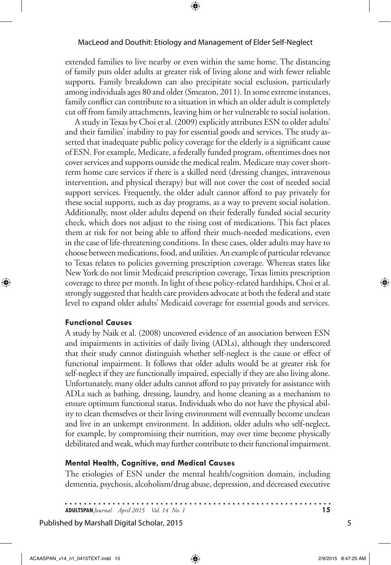extended families to live nearby or even within the same home. The distancing of family puts older adults at greater risk of living alone and with fewer reliable supports. Family breakdown can also precipitate social exclusion, particularly among individuals ages 80 and older (Smeaton, 2011). In some extreme instances, family conflict can contribute to a situation in which an older adult is completely cut off from family attachments, leaving him or her vulnerable to social isolation.

A study in Texas by Choi et al. (2009) explicitly attributes ESN to older adults' and their families' inability to pay for essential goods and services. The study asserted that inadequate public policy coverage for the elderly is a significant cause of ESN. For example, Medicare, a federally funded program, oftentimes does not cover services and supports outside the medical realm. Medicare may cover shortterm home care services if there is a skilled need (dressing changes, intravenous intervention, and physical therapy) but will not cover the cost of needed social support services. Frequently, the older adult cannot afford to pay privately for these social supports, such as day programs, as a way to prevent social isolation. Additionally, most older adults depend on their federally funded social security check, which does not adjust to the rising cost of medications. This fact places them at risk for not being able to afford their much-needed medications, even in the case of life-threatening conditions. In these cases, older adults may have to choose between medications, food, and utilities. An example of particular relevance to Texas relates to policies governing prescription coverage. Whereas states like New York do not limit Medicaid prescription coverage, Texas limits prescription coverage to three per month. In light of these policy-related hardships, Choi et al. strongly suggested that health care providers advocate at both the federal and state level to expand older adults' Medicaid coverage for essential goods and services.

# **Functional Causes**

A study by Naik et al. (2008) uncovered evidence of an association between ESN and impairments in activities of daily living (ADLs), although they underscored that their study cannot distinguish whether self-neglect is the cause or effect of functional impairment. It follows that older adults would be at greater risk for self-neglect if they are functionally impaired, especially if they are also living alone. Unfortunately, many older adults cannot afford to pay privately for assistance with ADLs such as bathing, dressing, laundry, and home cleaning as a mechanism to ensure optimum functional status. Individuals who do not have the physical ability to clean themselves or their living environment will eventually become unclean and live in an unkempt environment. In addition, older adults who self-neglect, for example, by compromising their nutrition, may over time become physically debilitated and weak, which may further contribute to their functional impairment.

# **Mental Health, Cognitive, and Medical Causes**

The etiologies of ESN under the mental health/cognition domain, including dementia, psychosis, alcoholism/drug abuse, depression, and decreased executive

**ADULTSPAN***Journal April 2015 Vol. 14 No. 1* **15**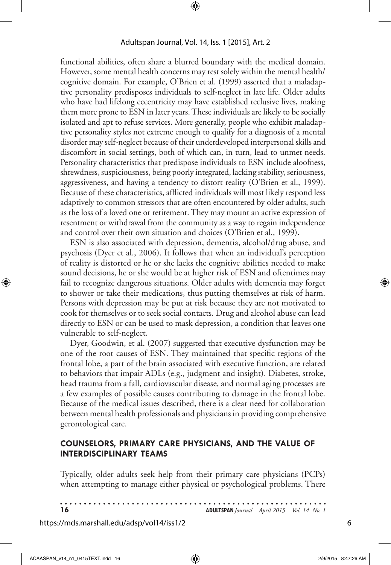functional abilities, often share a blurred boundary with the medical domain. However, some mental health concerns may rest solely within the mental health/ cognitive domain. For example, O'Brien et al. (1999) asserted that a maladaptive personality predisposes individuals to self-neglect in late life. Older adults who have had lifelong eccentricity may have established reclusive lives, making them more prone to ESN in later years. These individuals are likely to be socially isolated and apt to refuse services. More generally, people who exhibit maladaptive personality styles not extreme enough to qualify for a diagnosis of a mental disorder may self-neglect because of their underdeveloped interpersonal skills and discomfort in social settings, both of which can, in turn, lead to unmet needs. Personality characteristics that predispose individuals to ESN include aloofness, shrewdness, suspiciousness, being poorly integrated, lacking stability, seriousness, aggressiveness, and having a tendency to distort reality (O'Brien et al., 1999). Because of these characteristics, afflicted individuals will most likely respond less adaptively to common stressors that are often encountered by older adults, such as the loss of a loved one or retirement. They may mount an active expression of resentment or withdrawal from the community as a way to regain independence and control over their own situation and choices (O'Brien et al., 1999).

ESN is also associated with depression, dementia, alcohol/drug abuse, and psychosis (Dyer et al., 2006). It follows that when an individual's perception of reality is distorted or he or she lacks the cognitive abilities needed to make sound decisions, he or she would be at higher risk of ESN and oftentimes may fail to recognize dangerous situations. Older adults with dementia may forget to shower or take their medications, thus putting themselves at risk of harm. Persons with depression may be put at risk because they are not motivated to cook for themselves or to seek social contacts. Drug and alcohol abuse can lead directly to ESN or can be used to mask depression, a condition that leaves one vulnerable to self-neglect.

Dyer, Goodwin, et al. (2007) suggested that executive dysfunction may be one of the root causes of ESN. They maintained that specific regions of the frontal lobe, a part of the brain associated with executive function, are related to behaviors that impair ADLs (e.g., judgment and insight). Diabetes, stroke, head trauma from a fall, cardiovascular disease, and normal aging processes are a few examples of possible causes contributing to damage in the frontal lobe. Because of the medical issues described, there is a clear need for collaboration between mental health professionals and physicians in providing comprehensive gerontological care.

# **Counselors, Primary Care Physicians, and the Value of Interdisciplinary Teams**

Typically, older adults seek help from their primary care physicians (PCPs) when attempting to manage either physical or psychological problems. There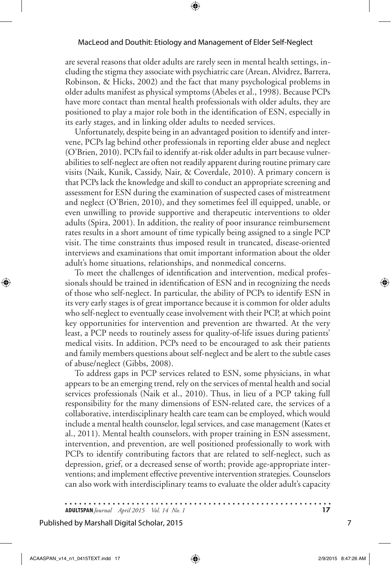are several reasons that older adults are rarely seen in mental health settings, including the stigma they associate with psychiatric care (Arean, Alvidrez, Barrera, Robinson, & Hicks, 2002) and the fact that many psychological problems in older adults manifest as physical symptoms (Abeles et al., 1998). Because PCPs have more contact than mental health professionals with older adults, they are positioned to play a major role both in the identification of ESN, especially in its early stages, and in linking older adults to needed services.

Unfortunately, despite being in an advantaged position to identify and intervene, PCPs lag behind other professionals in reporting elder abuse and neglect (O'Brien, 2010). PCPs fail to identify at-risk older adults in part because vulnerabilities to self-neglect are often not readily apparent during routine primary care visits (Naik, Kunik, Cassidy, Nair, & Coverdale, 2010). A primary concern is that PCPs lack the knowledge and skill to conduct an appropriate screening and assessment for ESN during the examination of suspected cases of mistreatment and neglect (O'Brien, 2010), and they sometimes feel ill equipped, unable, or even unwilling to provide supportive and therapeutic interventions to older adults (Spira, 2001). In addition, the reality of poor insurance reimbursement rates results in a short amount of time typically being assigned to a single PCP visit. The time constraints thus imposed result in truncated, disease-oriented interviews and examinations that omit important information about the older adult's home situations, relationships, and nonmedical concerns.

To meet the challenges of identification and intervention, medical professionals should be trained in identification of ESN and in recognizing the needs of those who self-neglect. In particular, the ability of PCPs to identify ESN in its very early stages is of great importance because it is common for older adults who self-neglect to eventually cease involvement with their PCP, at which point key opportunities for intervention and prevention are thwarted. At the very least, a PCP needs to routinely assess for quality-of-life issues during patients' medical visits. In addition, PCPs need to be encouraged to ask their patients and family members questions about self-neglect and be alert to the subtle cases of abuse/neglect (Gibbs, 2008).

To address gaps in PCP services related to ESN, some physicians, in what appears to be an emerging trend, rely on the services of mental health and social services professionals (Naik et al., 2010). Thus, in lieu of a PCP taking full responsibility for the many dimensions of ESN-related care, the services of a collaborative, interdisciplinary health care team can be employed, which would include a mental health counselor, legal services, and case management (Kates et al., 2011). Mental health counselors, with proper training in ESN assessment, intervention, and prevention, are well positioned professionally to work with PCPs to identify contributing factors that are related to self-neglect, such as depression, grief, or a decreased sense of worth; provide age-appropriate interventions; and implement effective preventive intervention strategies. Counselors can also work with interdisciplinary teams to evaluate the older adult's capacity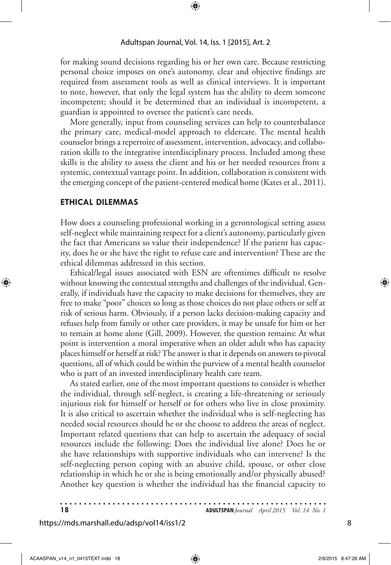for making sound decisions regarding his or her own care. Because restricting personal choice imposes on one's autonomy, clear and objective findings are required from assessment tools as well as clinical interviews. It is important to note, however, that only the legal system has the ability to deem someone incompetent; should it be determined that an individual is incompetent, a guardian is appointed to oversee the patient's care needs.

More generally, input from counseling services can help to counterbalance the primary care, medical-model approach to eldercare. The mental health counselor brings a repertoire of assessment, intervention, advocacy, and collaboration skills to the integrative interdisciplinary process. Included among these skills is the ability to assess the client and his or her needed resources from a systemic, contextual vantage point. In addition, collaboration is consistent with the emerging concept of the patient-centered medical home (Kates et al., 2011).

## **Ethical Dilemmas**

How does a counseling professional working in a gerontological setting assess self-neglect while maintaining respect for a client's autonomy, particularly given the fact that Americans so value their independence? If the patient has capacity, does he or she have the right to refuse care and intervention? These are the ethical dilemmas addressed in this section.

Ethical/legal issues associated with ESN are oftentimes difficult to resolve without knowing the contextual strengths and challenges of the individual. Generally, if individuals have the capacity to make decisions for themselves, they are free to make "poor" choices so long as those choices do not place others or self at risk of serious harm. Obviously, if a person lacks decision-making capacity and refuses help from family or other care providers, it may be unsafe for him or her to remain at home alone (Gill, 2009). However, the question remains: At what point is intervention a moral imperative when an older adult who has capacity places himself or herself at risk? The answer is that it depends on answers to pivotal questions, all of which could be within the purview of a mental health counselor who is part of an invested interdisciplinary health care team.

As stated earlier, one of the most important questions to consider is whether the individual, through self-neglect, is creating a life-threatening or seriously injurious risk for himself or herself or for others who live in close proximity. It is also critical to ascertain whether the individual who is self-neglecting has needed social resources should he or she choose to address the areas of neglect. Important related questions that can help to ascertain the adequacy of social resources include the following: Does the individual live alone? Does he or she have relationships with supportive individuals who can intervene? Is the self-neglecting person coping with an abusive child, spouse, or other close relationship in which he or she is being emotionally and/or physically abused? Another key question is whether the individual has the financial capacity to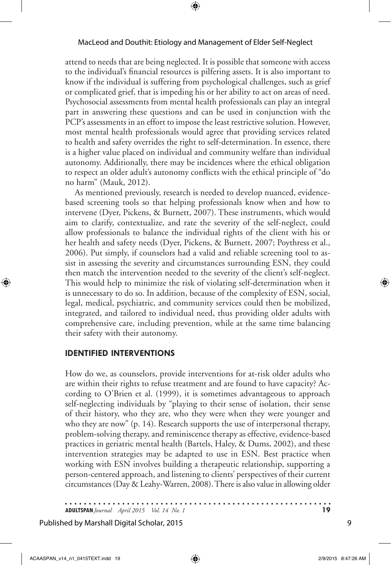attend to needs that are being neglected. It is possible that someone with access to the individual's financial resources is pilfering assets. It is also important to know if the individual is suffering from psychological challenges, such as grief or complicated grief, that is impeding his or her ability to act on areas of need. Psychosocial assessments from mental health professionals can play an integral part in answering these questions and can be used in conjunction with the PCP's assessments in an effort to impose the least restrictive solution. However, most mental health professionals would agree that providing services related to health and safety overrides the right to self-determination. In essence, there is a higher value placed on individual and community welfare than individual autonomy. Additionally, there may be incidences where the ethical obligation to respect an older adult's autonomy conflicts with the ethical principle of "do no harm" (Mauk, 2012).

As mentioned previously, research is needed to develop nuanced, evidencebased screening tools so that helping professionals know when and how to intervene (Dyer, Pickens, & Burnett, 2007). These instruments, which would aim to clarify, contextualize, and rate the severity of the self-neglect, could allow professionals to balance the individual rights of the client with his or her health and safety needs (Dyer, Pickens, & Burnett, 2007; Poythress et al., 2006). Put simply, if counselors had a valid and reliable screening tool to assist in assessing the severity and circumstances surrounding ESN, they could then match the intervention needed to the severity of the client's self-neglect. This would help to minimize the risk of violating self-determination when it is unnecessary to do so. In addition, because of the complexity of ESN, social, legal, medical, psychiatric, and community services could then be mobilized, integrated, and tailored to individual need, thus providing older adults with comprehensive care, including prevention, while at the same time balancing their safety with their autonomy.

# **Identified Interventions**

How do we, as counselors, provide interventions for at-risk older adults who are within their rights to refuse treatment and are found to have capacity? According to O'Brien et al. (1999), it is sometimes advantageous to approach self-neglecting individuals by "playing to their sense of isolation, their sense of their history, who they are, who they were when they were younger and who they are now" (p. 14). Research supports the use of interpersonal therapy, problem-solving therapy, and reminiscence therapy as effective, evidence-based practices in geriatric mental health (Bartels, Haley, & Dums, 2002), and these intervention strategies may be adapted to use in ESN. Best practice when working with ESN involves building a therapeutic relationship, supporting a person-centered approach, and listening to clients' perspectives of their current circumstances (Day & Leahy-Warren, 2008). There is also value in allowing older

**ADULTSPAN***Journal April 2015 Vol. 14 No. 1* **19**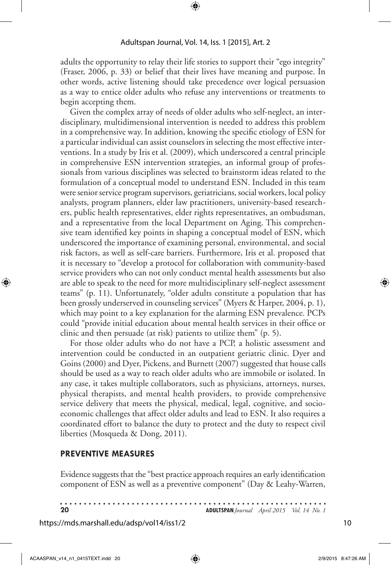adults the opportunity to relay their life stories to support their "ego integrity" (Fraser, 2006, p. 33) or belief that their lives have meaning and purpose. In other words, active listening should take precedence over logical persuasion as a way to entice older adults who refuse any interventions or treatments to begin accepting them.

Given the complex array of needs of older adults who self-neglect, an interdisciplinary, multidimensional intervention is needed to address this problem in a comprehensive way. In addition, knowing the specific etiology of ESN for a particular individual can assist counselors in selecting the most effective interventions. In a study by Iris et al. (2009), which underscored a central principle in comprehensive ESN intervention strategies, an informal group of professionals from various disciplines was selected to brainstorm ideas related to the formulation of a conceptual model to understand ESN. Included in this team were senior service program supervisors, geriatricians, social workers, local policy analysts, program planners, elder law practitioners, university-based researchers, public health representatives, elder rights representatives, an ombudsman, and a representative from the local Department on Aging. This comprehensive team identified key points in shaping a conceptual model of ESN, which underscored the importance of examining personal, environmental, and social risk factors, as well as self-care barriers. Furthermore, Iris et al. proposed that it is necessary to "develop a protocol for collaboration with community-based service providers who can not only conduct mental health assessments but also are able to speak to the need for more multidisciplinary self-neglect assessment teams" (p. 11). Unfortunately, "older adults constitute a population that has been grossly underserved in counseling services" (Myers & Harper, 2004, p. 1), which may point to a key explanation for the alarming ESN prevalence. PCPs could "provide initial education about mental health services in their office or clinic and then persuade (at risk) patients to utilize them" (p. 5).

For those older adults who do not have a PCP, a holistic assessment and intervention could be conducted in an outpatient geriatric clinic. Dyer and Goins (2000) and Dyer, Pickens, and Burnett (2007) suggested that house calls should be used as a way to reach older adults who are immobile or isolated. In any case, it takes multiple collaborators, such as physicians, attorneys, nurses, physical therapists, and mental health providers, to provide comprehensive service delivery that meets the physical, medical, legal, cognitive, and socioeconomic challenges that affect older adults and lead to ESN. It also requires a coordinated effort to balance the duty to protect and the duty to respect civil liberties (Mosqueda & Dong, 2011).

## **Preventive Measures**

Evidence suggests that the "best practice approach requires an early identification component of ESN as well as a preventive component" (Day & Leahy-Warren,

| -20 | <b>ADULTSPAN</b> Journal April 2015 Vol. 14 No. 1 |  |
|-----|---------------------------------------------------|--|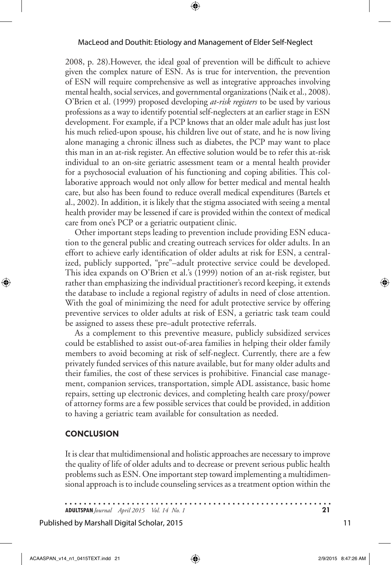2008, p. 28).However, the ideal goal of prevention will be difficult to achieve given the complex nature of ESN. As is true for intervention, the prevention of ESN will require comprehensive as well as integrative approaches involving mental health, social services, and governmental organizations (Naik et al., 2008). O'Brien et al. (1999) proposed developing *at-risk registers* to be used by various professions as a way to identify potential self-neglecters at an earlier stage in ESN development. For example, if a PCP knows that an older male adult has just lost his much relied-upon spouse, his children live out of state, and he is now living alone managing a chronic illness such as diabetes, the PCP may want to place this man in an at-risk register. An effective solution would be to refer this at-risk individual to an on-site geriatric assessment team or a mental health provider for a psychosocial evaluation of his functioning and coping abilities. This collaborative approach would not only allow for better medical and mental health care, but also has been found to reduce overall medical expenditures (Bartels et al., 2002). In addition, it is likely that the stigma associated with seeing a mental health provider may be lessened if care is provided within the context of medical care from one's PCP or a geriatric outpatient clinic.

Other important steps leading to prevention include providing ESN education to the general public and creating outreach services for older adults. In an effort to achieve early identification of older adults at risk for ESN, a centralized, publicly supported, "pre"–adult protective service could be developed. This idea expands on O'Brien et al.'s (1999) notion of an at-risk register, but rather than emphasizing the individual practitioner's record keeping, it extends the database to include a regional registry of adults in need of close attention. With the goal of minimizing the need for adult protective service by offering preventive services to older adults at risk of ESN, a geriatric task team could be assigned to assess these pre–adult protective referrals.

As a complement to this preventive measure, publicly subsidized services could be established to assist out-of-area families in helping their older family members to avoid becoming at risk of self-neglect. Currently, there are a few privately funded services of this nature available, but for many older adults and their families, the cost of these services is prohibitive. Financial case management, companion services, transportation, simple ADL assistance, basic home repairs, setting up electronic devices, and completing health care proxy/power of attorney forms are a few possible services that could be provided, in addition to having a geriatric team available for consultation as needed.

# **Conclusion**

It is clear that multidimensional and holistic approaches are necessary to improve the quality of life of older adults and to decrease or prevent serious public health problems such as ESN. One important step toward implementing a multidimensional approach is to include counseling services as a treatment option within the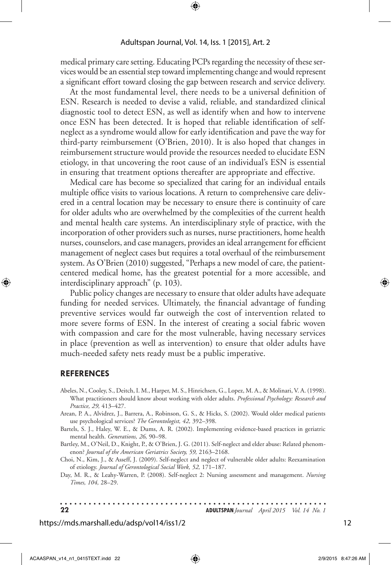medical primary care setting. Educating PCPs regarding the necessity of these services would be an essential step toward implementing change and would represent a significant effort toward closing the gap between research and service delivery.

At the most fundamental level, there needs to be a universal definition of ESN. Research is needed to devise a valid, reliable, and standardized clinical diagnostic tool to detect ESN, as well as identify when and how to intervene once ESN has been detected. It is hoped that reliable identification of selfneglect as a syndrome would allow for early identification and pave the way for third-party reimbursement (O'Brien, 2010). It is also hoped that changes in reimbursement structure would provide the resources needed to elucidate ESN etiology, in that uncovering the root cause of an individual's ESN is essential in ensuring that treatment options thereafter are appropriate and effective.

Medical care has become so specialized that caring for an individual entails multiple office visits to various locations. A return to comprehensive care delivered in a central location may be necessary to ensure there is continuity of care for older adults who are overwhelmed by the complexities of the current health and mental health care systems. An interdisciplinary style of practice, with the incorporation of other providers such as nurses, nurse practitioners, home health nurses, counselors, and case managers, provides an ideal arrangement for efficient management of neglect cases but requires a total overhaul of the reimbursement system. As O'Brien (2010) suggested, "Perhaps a new model of care, the patientcentered medical home, has the greatest potential for a more accessible, and interdisciplinary approach" (p. 103).

Public policy changes are necessary to ensure that older adults have adequate funding for needed services. Ultimately, the financial advantage of funding preventive services would far outweigh the cost of intervention related to more severe forms of ESN. In the interest of creating a social fabric woven with compassion and care for the most vulnerable, having necessary services in place (prevention as well as intervention) to ensure that older adults have much-needed safety nets ready must be a public imperative.

#### **References**

- Abeles, N., Cooley, S., Deitch, I. M., Harper, M. S., Hinrichsen, G., Lopez, M. A., & Molinari, V. A. (1998). What practitioners should know about working with older adults. *Professional Psychology: Research and Practice, 29,* 413–427.
- Arean, P. A., Alvidrez, J., Barrera, A., Robinson, G. S., & Hicks, S. (2002). Would older medical patients use psychological services? *The Gerontologist, 42,* 392–398.
- Bartels, S. J., Haley, W. E., & Dums, A. R. (2002). Implementing evidence-based practices in geriatric mental health. *Generations, 26,* 90–98.
- Bartley, M., O'Neil, D., Knight, P., & O'Brien, J. G. (2011). Self-neglect and elder abuse: Related phenomenon? *Journal of the American Geriatrics Society, 59,* 2163–2168.
- Choi, N., Kim, J., & Asseff, J. (2009). Self-neglect and neglect of vulnerable older adults: Reexamination of etiology. *Journal of Gerontological Social Work, 52,* 171–187.
- Day, M. R., & Leahy-Warren, P. (2008). Self-neglect 2: Nursing assessment and management. *Nursing Times, 104,* 28–29.

. . . . . . . . . . . . . . . . . . . . . . . . . . . . . . **22 ADULTSPAN***Journal April 2015 Vol. 14 No. 1*